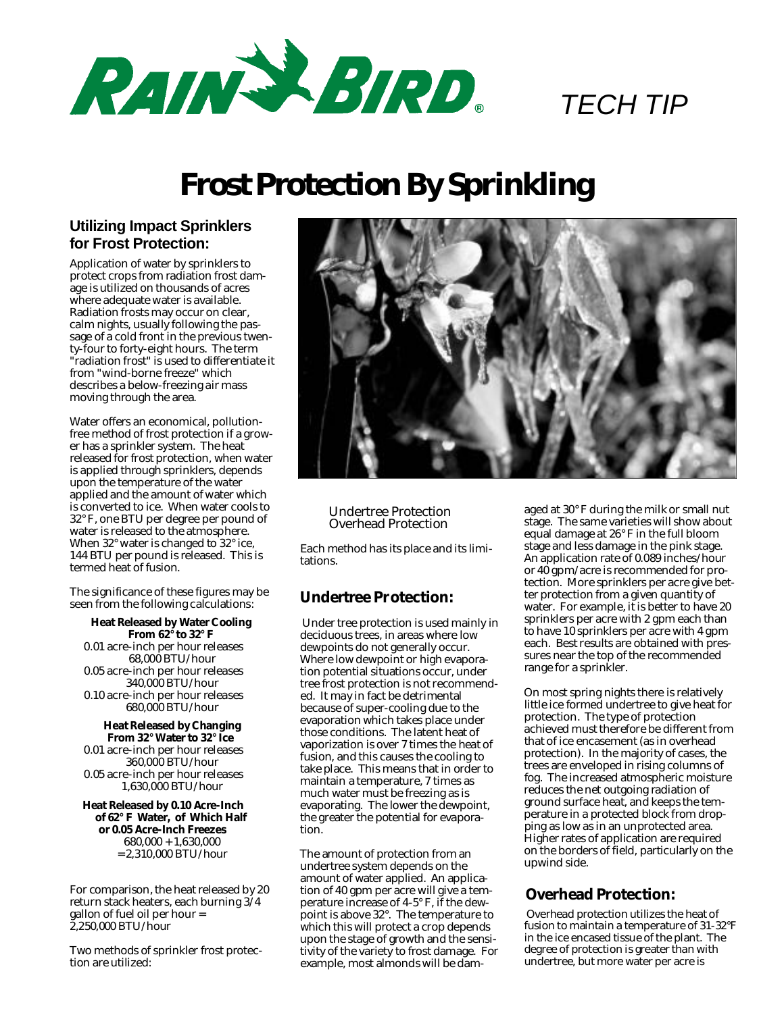

# *TECH TIP*

# **Frost Protection By Sprinkling**

### **Utilizing Impact Sprinklers for Frost Protection:**

Application of water by sprinklers to protect crops from radiation frost damage is utilized on thousands of acres where adequate water is available. Radiation frosts may occur on clear, calm nights, usually following the passage of a cold front in the previous twenty-four to forty-eight hours. The term "radiation frost" is used to differentiate it from "wind-borne freeze" which describes a below-freezing air mass moving through the area.

Water offers an economical, pollutionfree method of frost protection if a grower has a sprinkler system. The heat released for frost protection, when water is applied through sprinklers, depends upon the temperature of the water applied and the amount of water which is converted to ice. When water cools to 32° F, one BTU per degree per pound of water is released to the atmosphere. When 32° water is changed to 32° ice, 144 BTU per pound is released. This is termed heat of fusion.

The significance of these figures may be seen from the following calculations:

**Heat Released by Water Cooling From 62° to 32° F** 0.01 acre-inch per hour releases 68,000 BTU/hour 0.05 acre-inch per hour releases 340,000 BTU/hour 0.10 acre-inch per hour releases 680,000 BTU/hour

**Heat Released by Changing From 32° Water to 32° Ice** 0.01 acre-inch per hour releases 360,000 BTU/hour 0.05 acre-inch per hour releases 1,630,000 BTU/hour

**Heat Released by 0.10 Acre-Inch of 62° F Water, of Which Half or 0.05 Acre-Inch Freezes** 680,000 + 1,630,000 = 2,310,000 BTU/hour

For comparison, the heat released by 20 return stack heaters, each burning 3/4 gallon of fuel oil per hour = 2,250,000 BTU/hour

Two methods of sprinkler frost protection are utilized:



Undertree Protection Overhead Protection

Each method has its place and its limitations.

## **Undertree Protection:**

Under tree protection is used mainly in deciduous trees, in areas where low dewpoints do not generally occur. Where low dewpoint or high evaporation potential situations occur, under tree frost protection is not recommended. It may in fact be detrimental because of super-cooling due to the evaporation which takes place under those conditions. The latent heat of vaporization is over 7 times the heat of fusion, and this causes the cooling to take place. This means that in order to maintain a temperature, 7 times as much water must be freezing as is evaporating. The lower the dewpoint, the greater the potential for evaporation.

The amount of protection from an undertree system depends on the amount of water applied. An application of 40 gpm per acre will give a temperature increase of 4-5° F, if the dewpoint is above 32°. The temperature to which this will protect a crop depends upon the stage of growth and the sensitivity of the variety to frost damage. For example, most almonds will be dam-

aged at 30° F during the milk or small nut stage. The same varieties will show about equal damage at 26° F in the full bloom stage and less damage in the pink stage. An application rate of 0.089 inches/hour or 40 gpm/acre is recommended for protection. More sprinklers per acre give better protection from a given quantity of water. For example, it is better to have 20 sprinklers per acre with 2 gpm each than to have 10 sprinklers per acre with 4 gpm each. Best results are obtained with pressures near the top of the recommended range for a sprinkler.

On most spring nights there is relatively little ice formed undertree to give heat for protection. The type of protection achieved must therefore be different from that of ice encasement (as in overhead protection). In the majority of cases, the trees are enveloped in rising columns of fog. The increased atmospheric moisture reduces the net outgoing radiation of ground surface heat, and keeps the temperature in a protected block from dropping as low as in an unprotected area. Higher rates of application are required on the borders of field, particularly on the upwind side.

## **Overhead Protection:**

Overhead protection utilizes the heat of fusion to maintain a temperature of 31-32°F in the ice encased tissue of the plant. The degree of protection is greater than with undertree, but more water per acre is